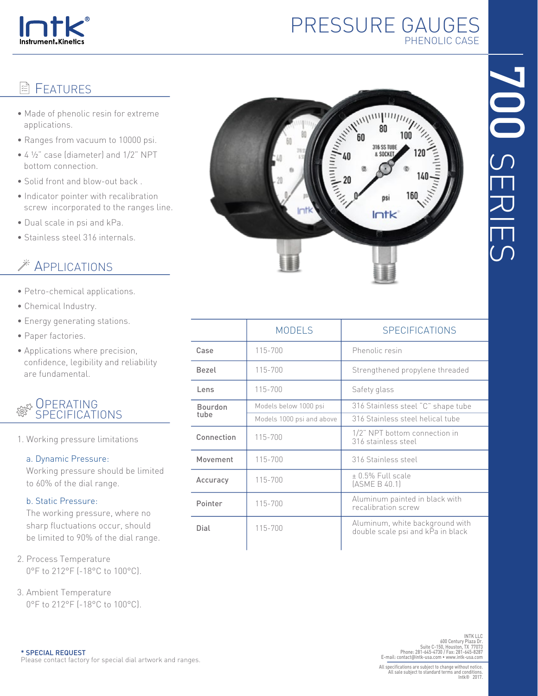

# PRESSURE GAUGES PHENOLIC CASE

100

160

DSİ  $Intk$ 

# 700 SERIES

# **图 FEATURES**

- Made of phenolic resin for extreme applications.
- Ranges from vacuum to 10000 psi.
- 4 ½" case (diameter) and 1/2" NPT bottom connection.
- Solid front and blow-out back .
- Indicator pointer with recalibration screw incorporated to the ranges line.
- Dual scale in psi and kPa.
- Stainless steel 316 internals.

# **EXAMPLICATIONS**

- Petro-chemical applications.
- Chemical Industry.
- Energy generating stations.
- Paper factories.
- Applications where precision, confidence, legibility and reliability are fundamental.



1. Working pressure limitations

### a. Dynamic Pressure:

 Working pressure should be limited to 60% of the dial range.

### b. Static Pressure:

 The working pressure, where no sharp fluctuations occur, should be limited to 90% of the dial range.

- 2. Process Temperature 0°F to 212°F (-18°C to 100°C).
- 3. Ambient Temperature 0°F to 212°F (-18°C to 100°C).

|                        | <b>MODELS</b>             | <b>SPECIFICATIONS</b>                                                |  |  |  |
|------------------------|---------------------------|----------------------------------------------------------------------|--|--|--|
| Case                   | 115-700                   | Phenolic resin                                                       |  |  |  |
| <b>Bezel</b>           | 115-700                   | Strengthened propylene threaded                                      |  |  |  |
| Lens                   | 115-700                   | Safety glass                                                         |  |  |  |
| <b>Bourdon</b><br>tube | Models below 1000 psi     | 316 Stainless steel "C" shape tube                                   |  |  |  |
|                        | Models 1000 psi and above | 316 Stainless steel helical tube                                     |  |  |  |
| Connection             | 115-700                   | 1/2" NPT bottom connection in<br>316 stainless steel                 |  |  |  |
| Movement               | 115-700                   | 316 Stainless steel                                                  |  |  |  |
| Accuracy               | 115-700                   | + 0.5% Full scale<br>(ASME B 40.1)                                   |  |  |  |
| Pointer                | 115-700                   | Aluminum painted in black with<br>recalibration screw                |  |  |  |
| Dial                   | 115-700                   | Aluminum, white background with<br>double scale psi and kPa in black |  |  |  |
|                        |                           |                                                                      |  |  |  |

INT LLC<br>INTK LLC<br>600 Century Plaza Dr.<br>Phone: 281-645-4730 / Fax: 281-645-4731<br>E-mail: contact@intk-usa.com • www.intk-usa.com<br>E-mail: contact@intk-usa.com • www.intk-usa.com